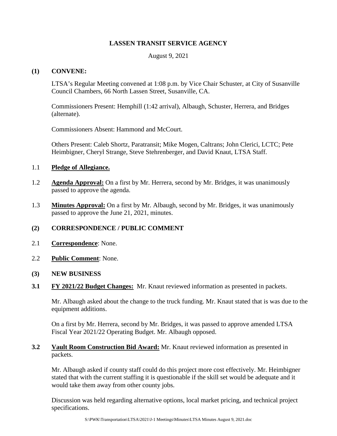### **LASSEN TRANSIT SERVICE AGENCY**

August 9, 2021

### **(1) CONVENE:**

LTSA's Regular Meeting convened at 1:08 p.m. by Vice Chair Schuster, at City of Susanville Council Chambers, 66 North Lassen Street, Susanville, CA.

Commissioners Present: Hemphill (1:42 arrival), Albaugh, Schuster, Herrera, and Bridges (alternate).

Commissioners Absent: Hammond and McCourt.

Others Present: Caleb Shortz, Paratransit; Mike Mogen, Caltrans; John Clerici, LCTC; Pete Heimbigner, Cheryl Strange, Steve Stehrenberger, and David Knaut, LTSA Staff.

### 1.1 **Pledge of Allegiance.**

- 1.2 **Agenda Approval:** On a first by Mr. Herrera, second by Mr. Bridges, it was unanimously passed to approve the agenda.
- 1.3 **Minutes Approval:** On a first by Mr. Albaugh, second by Mr. Bridges, it was unanimously passed to approve the June 21, 2021, minutes.

# **(2) CORRESPONDENCE / PUBLIC COMMENT**

- 2.1 **Correspondence**: None.
- 2.2 **Public Comment**: None.

#### **(3) NEW BUSINESS**

**3.1 FY 2021/22 Budget Changes:** Mr. Knaut reviewed information as presented in packets.

Mr. Albaugh asked about the change to the truck funding. Mr. Knaut stated that is was due to the equipment additions.

On a first by Mr. Herrera, second by Mr. Bridges, it was passed to approve amended LTSA Fiscal Year 2021/22 Operating Budget. Mr. Albaugh opposed.

### **3.2 Vault Room Construction Bid Award:** Mr. Knaut reviewed information as presented in packets.

Mr. Albaugh asked if county staff could do this project more cost effectively. Mr. Heimbigner stated that with the current staffing it is questionable if the skill set would be adequate and it would take them away from other county jobs.

Discussion was held regarding alternative options, local market pricing, and technical project specifications.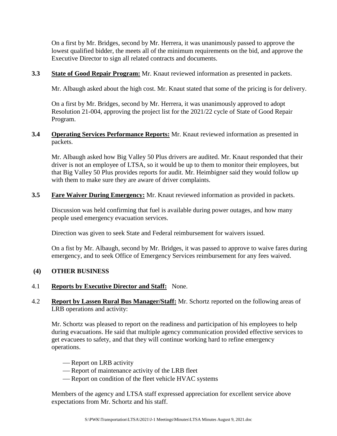On a first by Mr. Bridges, second by Mr. Herrera, it was unanimously passed to approve the lowest qualified bidder, the meets all of the minimum requirements on the bid, and approve the Executive Director to sign all related contracts and documents.

**3.3 State of Good Repair Program:** Mr. Knaut reviewed information as presented in packets.

Mr. Albaugh asked about the high cost. Mr. Knaut stated that some of the pricing is for delivery.

On a first by Mr. Bridges, second by Mr. Herrera, it was unanimously approved to adopt Resolution 21-004, approving the project list for the 2021/22 cycle of State of Good Repair Program.

## **3.4 Operating Services Performance Reports:** Mr. Knaut reviewed information as presented in packets.

Mr. Albaugh asked how Big Valley 50 Plus drivers are audited. Mr. Knaut responded that their driver is not an employee of LTSA, so it would be up to them to monitor their employees, but that Big Valley 50 Plus provides reports for audit. Mr. Heimbigner said they would follow up with them to make sure they are aware of driver complaints.

**3.5 Fare Waiver During Emergency:** Mr. Knaut reviewed information as provided in packets.

Discussion was held confirming that fuel is available during power outages, and how many people used emergency evacuation services.

Direction was given to seek State and Federal reimbursement for waivers issued.

On a fist by Mr. Albaugh, second by Mr. Bridges, it was passed to approve to waive fares during emergency, and to seek Office of Emergency Services reimbursement for any fees waived.

# **(4) OTHER BUSINESS**

# 4.1 **Reports by Executive Director and Staff:** None.

4.2 **Report by Lassen Rural Bus Manager/Staff:** Mr. Schortz reported on the following areas of LRB operations and activity:

Mr. Schortz was pleased to report on the readiness and participation of his employees to help during evacuations. He said that multiple agency communication provided effective services to get evacuees to safety, and that they will continue working hard to refine emergency operations.

- Report on LRB activity
- Report of maintenance activity of the LRB fleet
- Report on condition of the fleet vehicle HVAC systems

Members of the agency and LTSA staff expressed appreciation for excellent service above expectations from Mr. Schortz and his staff.